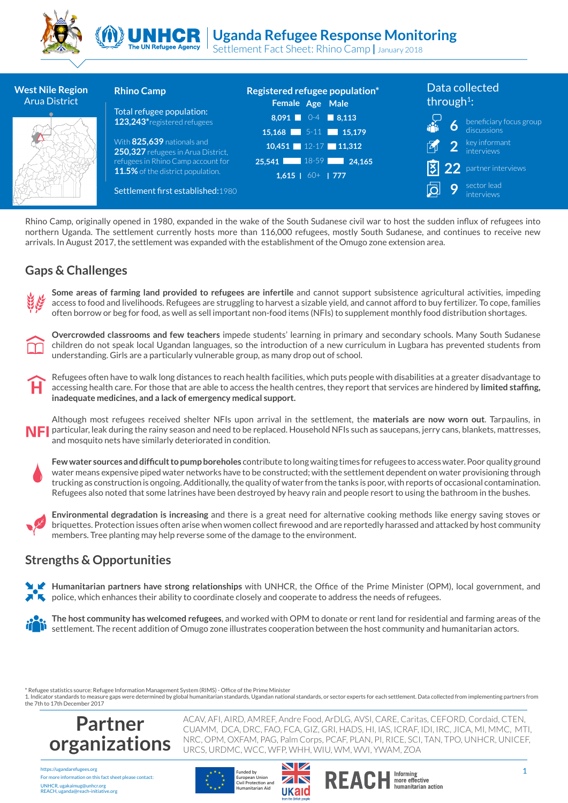



Settlement Fact Sheet: Rhino Camp **|** January 2018 The UN Refugee Agency

| <b>West Nile Region</b><br><b>Arua District</b>                                                                                                                                                                                                                                                                                                            | <b>Rhino Camp</b><br>Total refugee population:<br>123,243*registered refugees<br>With 825,639 nationals and<br>250,327 refugees in Arua District,<br>refugees in Rhino Camp account for<br>11.5% of the district population.<br>Settlement first established: 1980 | Registered refugee population*<br>Female Age Male<br>$8,091$ 0-4<br>$\vert$ 8,113<br>15,168 5-11 15,179<br>10,451 $12-17$ 11,312<br>$\vert$ 18-59 $\vert$<br>24.165<br>25.541<br>1.615   $60+$   777 | Data collected<br>through <sup>1</sup> :<br>beneficiary focus group<br>6<br>discussions<br>key informant<br><i>interviews</i><br> Ӽ<br>partner interviews<br>sector lead<br>9<br>interviews                                                                                                                                                                                                                                                                                                                                                            |
|------------------------------------------------------------------------------------------------------------------------------------------------------------------------------------------------------------------------------------------------------------------------------------------------------------------------------------------------------------|--------------------------------------------------------------------------------------------------------------------------------------------------------------------------------------------------------------------------------------------------------------------|------------------------------------------------------------------------------------------------------------------------------------------------------------------------------------------------------|--------------------------------------------------------------------------------------------------------------------------------------------------------------------------------------------------------------------------------------------------------------------------------------------------------------------------------------------------------------------------------------------------------------------------------------------------------------------------------------------------------------------------------------------------------|
|                                                                                                                                                                                                                                                                                                                                                            |                                                                                                                                                                                                                                                                    | arrivals. In August 2017, the settlement was expanded with the establishment of the Omugo zone extension area.                                                                                       | Rhino Camp, originally opened in 1980, expanded in the wake of the South Sudanese civil war to host the sudden influx of refugees into<br>northern Uganda. The settlement currently hosts more than 116,000 refugees, mostly South Sudanese, and continues to receive new                                                                                                                                                                                                                                                                              |
| <b>Gaps &amp; Challenges</b>                                                                                                                                                                                                                                                                                                                               |                                                                                                                                                                                                                                                                    |                                                                                                                                                                                                      |                                                                                                                                                                                                                                                                                                                                                                                                                                                                                                                                                        |
|                                                                                                                                                                                                                                                                                                                                                            |                                                                                                                                                                                                                                                                    |                                                                                                                                                                                                      | Some areas of farming land provided to refugees are infertile and cannot support subsistence agricultural activities, impeding<br>access to food and livelihoods. Refugees are struggling to harvest a sizable yield, and cannot afford to buy fertilizer. To cope, families<br>often borrow or beg for food, as well as sell important non-food items (NFIs) to supplement monthly food distribution shortages.                                                                                                                                       |
| Overcrowded classrooms and few teachers impede students' learning in primary and secondary schools. Many South Sudanese<br>children do not speak local Ugandan languages, so the introduction of a new curriculum in Lugbara has prevented students from<br>understanding. Girls are a particularly vulnerable group, as many drop out of school.          |                                                                                                                                                                                                                                                                    |                                                                                                                                                                                                      |                                                                                                                                                                                                                                                                                                                                                                                                                                                                                                                                                        |
| Refugees often have to walk long distances to reach health facilities, which puts people with disabilities at a greater disadvantage to<br>Н<br>accessing health care. For those that are able to access the health centres, they report that services are hindered by limited staffing,<br>inadequate medicines, and a lack of emergency medical support. |                                                                                                                                                                                                                                                                    |                                                                                                                                                                                                      |                                                                                                                                                                                                                                                                                                                                                                                                                                                                                                                                                        |
| NFI                                                                                                                                                                                                                                                                                                                                                        | and mosquito nets have similarly deteriorated in condition.                                                                                                                                                                                                        |                                                                                                                                                                                                      | Although most refugees received shelter NFIs upon arrival in the settlement, the materials are now worn out. Tarpaulins, in<br>particular, leak during the rainy season and need to be replaced. Household NFIs such as saucepans, jerry cans, blankets, mattresses,                                                                                                                                                                                                                                                                                   |
|                                                                                                                                                                                                                                                                                                                                                            |                                                                                                                                                                                                                                                                    |                                                                                                                                                                                                      | Few water sources and difficult to pump boreholes contribute to long waiting times for refugees to access water. Poor quality ground<br>water means expensive piped water networks have to be constructed; with the settlement dependent on water provisioning through<br>trucking as construction is ongoing. Additionally, the quality of water from the tanks is poor, with reports of occasional contamination.<br>Refugees also noted that some latrines have been destroyed by heavy rain and people resort to using the bathroom in the bushes. |
|                                                                                                                                                                                                                                                                                                                                                            | members. Tree planting may help reverse some of the damage to the environment.                                                                                                                                                                                     |                                                                                                                                                                                                      | Environmental degradation is increasing and there is a great need for alternative cooking methods like energy saving stoves or<br>briquettes. Protection issues often arise when women collect firewood and are reportedly harassed and attacked by host community                                                                                                                                                                                                                                                                                     |
| <b>Strengths &amp; Opportunities</b>                                                                                                                                                                                                                                                                                                                       |                                                                                                                                                                                                                                                                    |                                                                                                                                                                                                      |                                                                                                                                                                                                                                                                                                                                                                                                                                                                                                                                                        |
|                                                                                                                                                                                                                                                                                                                                                            |                                                                                                                                                                                                                                                                    | $\blacktriangleright$ police, which enhances their ability to coordinate closely and cooperate to address the needs of refugees.                                                                     | Humanitarian partners have strong relationships with UNHCR, the Office of the Prime Minister (OPM), local government, and                                                                                                                                                                                                                                                                                                                                                                                                                              |
|                                                                                                                                                                                                                                                                                                                                                            |                                                                                                                                                                                                                                                                    | settlement. The recent addition of Omugo zone illustrates cooperation between the host community and humanitarian actors.                                                                            | The host community has welcomed refugees, and worked with OPM to donate or rent land for residential and farming areas of the                                                                                                                                                                                                                                                                                                                                                                                                                          |

### **Gaps & Challenges**

### **Strengths & Opportunities**

\* Refugee statistics source: Refugee Information Management System (RIMS) - Office of the Prime Minister

1. Indicator standards to measure gaps were determined by global humanitarian standards, Ugandan national standards, or sector experts for each settlement. Data collected from implementing partners from the 7th to 17th December 2017

URCS, URDMC, WCC, WFP, WHH, WIU, WM, WVI, YWAM, ZOA



https://ugandarefugees.org For more information on this fact sheet please contact: UNHCR, ugakaimug@unhcr.org REACH, uganda@reach-initiative.org

# Funded by





ACAV, AFI, AIRD, AMREF, Andre Food, ArDLG, AVSI, CARE, Caritas, CEFORD, Cordaid, CTEN, CUAMM, DCA, DRC, FAO, FCA, GIZ, GRI, HADS, HI, IAS, ICRAF, IDI, IRC, JICA, MI, MMC, MTI, NRC, OPM, OXFAM, PAG, Palm Corps, PCAF, PLAN, PI, RICE, SCI, TAN, TPO, UNHCR, UNICEF,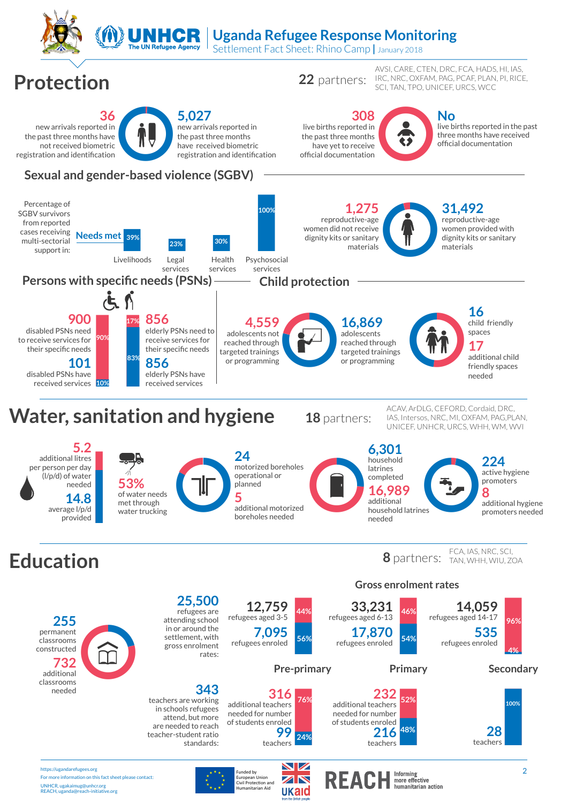

European Union<br>Civil Protection and Humanitarian Aid

For more information on this fact sheet please contact:

UNHCR, ugakaimug@unhcr.org REACH, uganda@reach-initiative.org